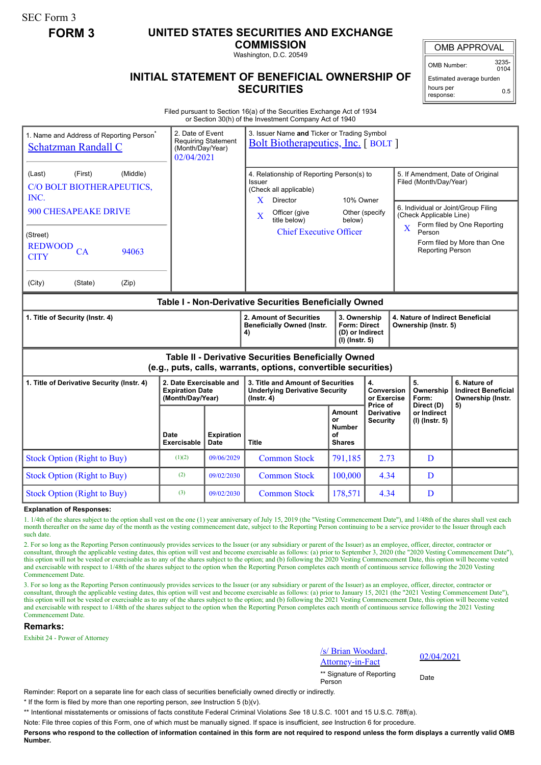SEC Form 3

# **FORM 3 UNITED STATES SECURITIES AND EXCHANGE**

**COMMISSION** Washington, D.C. 20549

## **INITIAL STATEMENT OF BENEFICIAL OWNERSHIP OF SECURITIES**

OMB APPROVAL

OMB Number: 3235- 0104

Estimated average burden hours per response: 0.5

Filed pursuant to Section 16(a) of the Securities Exchange Act of 1934 or Section 30(h) of the Investment Company Act of 1940

| 1. Name and Address of Reporting Person <sup>®</sup><br>Schatzman Randall C                                                                            |                                                                       | 2. Date of Event<br>3. Issuer Name and Ticker or Trading Symbol<br><b>Requiring Statement</b><br><b>Bolt Biotherapeutics, Inc.</b> [BOLT ]<br>(Month/Day/Year)<br>02/04/2021 |                                                                                                                                                                                                     |                                                                     |                                                          |                                                                                                       |                                                                                                                                        |  |  |
|--------------------------------------------------------------------------------------------------------------------------------------------------------|-----------------------------------------------------------------------|------------------------------------------------------------------------------------------------------------------------------------------------------------------------------|-----------------------------------------------------------------------------------------------------------------------------------------------------------------------------------------------------|---------------------------------------------------------------------|----------------------------------------------------------|-------------------------------------------------------------------------------------------------------|----------------------------------------------------------------------------------------------------------------------------------------|--|--|
| (First)<br>(Middle)<br>(Last)<br>C/O BOLT BIOTHERAPEUTICS,<br>INC.<br>900 CHESAPEAKE DRIVE<br>(Street)<br><b>REDWOOD</b><br>CA<br>94063<br><b>CITY</b> |                                                                       |                                                                                                                                                                              | 4. Relationship of Reporting Person(s) to<br>Issuer<br>(Check all applicable)<br>X<br><b>Director</b><br>Officer (give<br>$\overline{\mathbf{X}}$<br>title below)<br><b>Chief Executive Officer</b> | 10% Owner<br>Other (specify<br>below)                               |                                                          | Filed (Month/Day/Year)<br>(Check Applicable Line)<br>$\mathbf x$<br>Person<br><b>Reporting Person</b> | 5. If Amendment, Date of Original<br>6. Individual or Joint/Group Filing<br>Form filed by One Reporting<br>Form filed by More than One |  |  |
| (City)<br>(State)<br>(Zip)                                                                                                                             |                                                                       |                                                                                                                                                                              |                                                                                                                                                                                                     |                                                                     |                                                          |                                                                                                       |                                                                                                                                        |  |  |
| Table I - Non-Derivative Securities Beneficially Owned                                                                                                 |                                                                       |                                                                                                                                                                              |                                                                                                                                                                                                     |                                                                     |                                                          |                                                                                                       |                                                                                                                                        |  |  |
| 1. Title of Security (Instr. 4)                                                                                                                        |                                                                       |                                                                                                                                                                              | 2. Amount of Securities<br><b>Beneficially Owned (Instr.</b><br>4)                                                                                                                                  | 3. Ownership<br>Form: Direct<br>(D) or Indirect<br>$(I)$ (Instr. 5) | 4. Nature of Indirect Beneficial<br>Ownership (Instr. 5) |                                                                                                       |                                                                                                                                        |  |  |
| Table II - Derivative Securities Beneficially Owned<br>(e.g., puts, calls, warrants, options, convertible securities)                                  |                                                                       |                                                                                                                                                                              |                                                                                                                                                                                                     |                                                                     |                                                          |                                                                                                       |                                                                                                                                        |  |  |
| 1. Title of Derivative Security (Instr. 4)                                                                                                             | 2. Date Exercisable and<br><b>Expiration Date</b><br>(Month/Day/Year) |                                                                                                                                                                              | 4.<br>3. Title and Amount of Securities<br><b>Underlying Derivative Security</b><br>$($ lnstr. 4 $)$                                                                                                |                                                                     | Conversion<br>or Exercise                                | 5.<br>Ownership<br>Form:                                                                              | 6. Nature of<br><b>Indirect Beneficial</b><br>Ownership (Instr.                                                                        |  |  |
|                                                                                                                                                        | Date<br><b>Exercisable</b>                                            | <b>Expiration</b><br><b>Date</b>                                                                                                                                             | <b>Title</b>                                                                                                                                                                                        | Amount<br>Ωr<br>Number<br>οf<br><b>Shares</b>                       | Price of<br><b>Derivative</b><br><b>Security</b>         | Direct (D)<br>or Indirect<br>$(I)$ (Instr. 5)                                                         | 5)                                                                                                                                     |  |  |
| <b>Stock Option (Right to Buy)</b>                                                                                                                     | (1)(2)                                                                | 09/06/2029                                                                                                                                                                   | <b>Common Stock</b>                                                                                                                                                                                 | 791,185                                                             | 2.73                                                     | D                                                                                                     |                                                                                                                                        |  |  |
| <b>Stock Option (Right to Buy)</b>                                                                                                                     | (2)                                                                   | 09/02/2030                                                                                                                                                                   | <b>Common Stock</b>                                                                                                                                                                                 | 100,000                                                             | 4.34                                                     | D                                                                                                     |                                                                                                                                        |  |  |
| <b>Stock Option (Right to Buy)</b>                                                                                                                     | (3)                                                                   | 09/02/2030                                                                                                                                                                   | <b>Common Stock</b>                                                                                                                                                                                 | 178,571                                                             | 4.34                                                     | D                                                                                                     |                                                                                                                                        |  |  |

#### **Explanation of Responses:**

1. 1/4th of the shares subject to the option shall vest on the one (1) year anniversary of July 15, 2019 (the "Vesting Commencement Date"), and 1/48th of the shares shall vest each month thereafter on the same day of the month as the vesting commencement date, subject to the Reporting Person continuing to be a service provider to the Issuer through each such date.

2. For so long as the Reporting Person continuously provides services to the Issuer (or any subsidiary or parent of the Issuer) as an employee, officer, director, contractor or consultant, through the applicable vesting dates, this option will vest and become exercisable as follows: (a) prior to September 3, 2020 (the "2020 Vesting Commencement Date"), this option will not be vested or exercisable as to any of the shares subject to the option; and (b) following the 2020 Vesting Commencement Date, this option will become vested and exercisable with respect to 1/48th of the shares subject to the option when the Reporting Person completes each month of continuous service following the 2020 Vesting Commencement Date.

3. For so long as the Reporting Person continuously provides services to the Issuer (or any subsidiary or parent of the Issuer) as an employee, officer, director, contractor or consultant, through the applicable vesting dates, this option will vest and become exercisable as follows: (a) prior to January 15, 2021 (the "2021 Vesting Commencement Date"), this option will not be vested or exercisable as to any of the shares subject to the option; and (b) following the 2021 Vesting Commencement Date, this option will become vested and exercisable with respect to 1/48th of the shares subject to the option when the Reporting Person completes each month of continuous service following the 2021 Vesting Commencement Date.

### **Remarks:**

Exhibit 24 - Power of Attorney

/s/ Brian Woodard,  $\frac{62}{\text{Attoney-in-Fact}}$  02/04/2021

\*\* Signature of Reporting <sub>Date</sub><br>Person

Reminder: Report on a separate line for each class of securities beneficially owned directly or indirectly.

\* If the form is filed by more than one reporting person, *see* Instruction 5 (b)(v).

\*\* Intentional misstatements or omissions of facts constitute Federal Criminal Violations *See* 18 U.S.C. 1001 and 15 U.S.C. 78ff(a).

Note: File three copies of this Form, one of which must be manually signed. If space is insufficient, *see* Instruction 6 for procedure.

**Persons who respond to the collection of information contained in this form are not required to respond unless the form displays a currently valid OMB Number.**